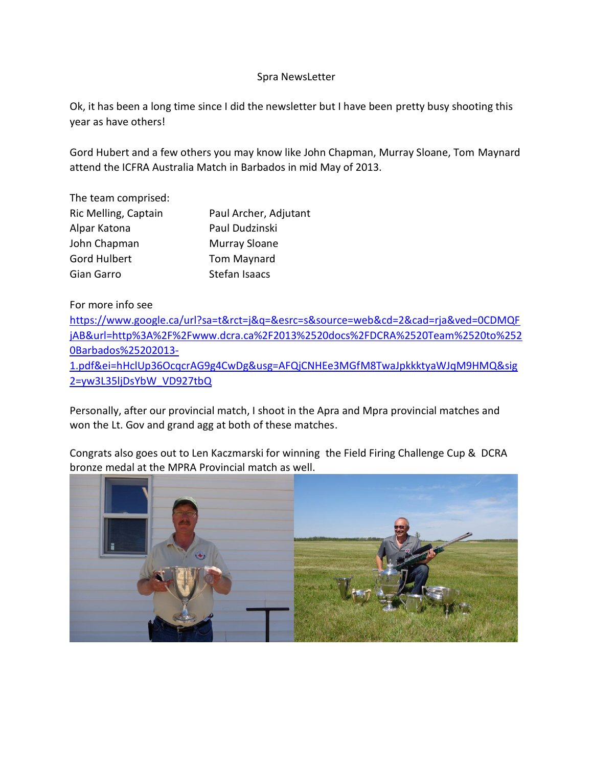## Spra NewsLetter

Ok, it has been a long time since I did the newsletter but I have been pretty busy shooting this year as have others!

Gord Hubert and a few others you may know like John Chapman, Murray Sloane, Tom Maynard attend the ICFRA Australia Match in Barbados in mid May of 2013.

The team comprised:

| Ric Melling, Captain | Paul Archer, Adjutant |
|----------------------|-----------------------|
| Alpar Katona         | Paul Dudzinski        |
| John Chapman         | Murray Sloane         |
| Gord Hulbert         | Tom Maynard           |
| Gian Garro           | Stefan Isaacs         |

For more info see

[https://www.google.ca/url?sa=t&rct=j&q=&esrc=s&source=web&cd=2&cad=rja&ved=0CDMQF](https://www.google.ca/url?sa=t&rct=j&q=&esrc=s&source=web&cd=2&cad=rja&ved=0CDMQFjAB&url=http%3A%2F%2Fwww.dcra.ca%2F2013%2520docs%2FDCRA%2520Team%2520to%2520Barbados%25202013-1.pdf&ei=hHclUp36OcqcrAG9g4CwDg&usg=AFQjCNHEe3MGfM8TwaJpkkktyaWJqM9HMQ&sig2=yw3L35ljDsYbW_VD927tbQ) [jAB&url=http%3A%2F%2Fwww.dcra.ca%2F2013%2520docs%2FDCRA%2520Team%2520to%252](https://www.google.ca/url?sa=t&rct=j&q=&esrc=s&source=web&cd=2&cad=rja&ved=0CDMQFjAB&url=http%3A%2F%2Fwww.dcra.ca%2F2013%2520docs%2FDCRA%2520Team%2520to%2520Barbados%25202013-1.pdf&ei=hHclUp36OcqcrAG9g4CwDg&usg=AFQjCNHEe3MGfM8TwaJpkkktyaWJqM9HMQ&sig2=yw3L35ljDsYbW_VD927tbQ) [0Barbados%25202013-](https://www.google.ca/url?sa=t&rct=j&q=&esrc=s&source=web&cd=2&cad=rja&ved=0CDMQFjAB&url=http%3A%2F%2Fwww.dcra.ca%2F2013%2520docs%2FDCRA%2520Team%2520to%2520Barbados%25202013-1.pdf&ei=hHclUp36OcqcrAG9g4CwDg&usg=AFQjCNHEe3MGfM8TwaJpkkktyaWJqM9HMQ&sig2=yw3L35ljDsYbW_VD927tbQ) [1.pdf&ei=hHclUp36OcqcrAG9g4CwDg&usg=AFQjCNHEe3MGfM8TwaJpkkktyaWJqM9HMQ&sig](https://www.google.ca/url?sa=t&rct=j&q=&esrc=s&source=web&cd=2&cad=rja&ved=0CDMQFjAB&url=http%3A%2F%2Fwww.dcra.ca%2F2013%2520docs%2FDCRA%2520Team%2520to%2520Barbados%25202013-1.pdf&ei=hHclUp36OcqcrAG9g4CwDg&usg=AFQjCNHEe3MGfM8TwaJpkkktyaWJqM9HMQ&sig2=yw3L35ljDsYbW_VD927tbQ) [2=yw3L35ljDsYbW\\_VD927tbQ](https://www.google.ca/url?sa=t&rct=j&q=&esrc=s&source=web&cd=2&cad=rja&ved=0CDMQFjAB&url=http%3A%2F%2Fwww.dcra.ca%2F2013%2520docs%2FDCRA%2520Team%2520to%2520Barbados%25202013-1.pdf&ei=hHclUp36OcqcrAG9g4CwDg&usg=AFQjCNHEe3MGfM8TwaJpkkktyaWJqM9HMQ&sig2=yw3L35ljDsYbW_VD927tbQ)

Personally, after our provincial match, I shoot in the Apra and Mpra provincial matches and won the Lt. Gov and grand agg at both of these matches.

Congrats also goes out to Len Kaczmarski for winning the Field Firing Challenge Cup & DCRA bronze medal at the MPRA Provincial match as well.

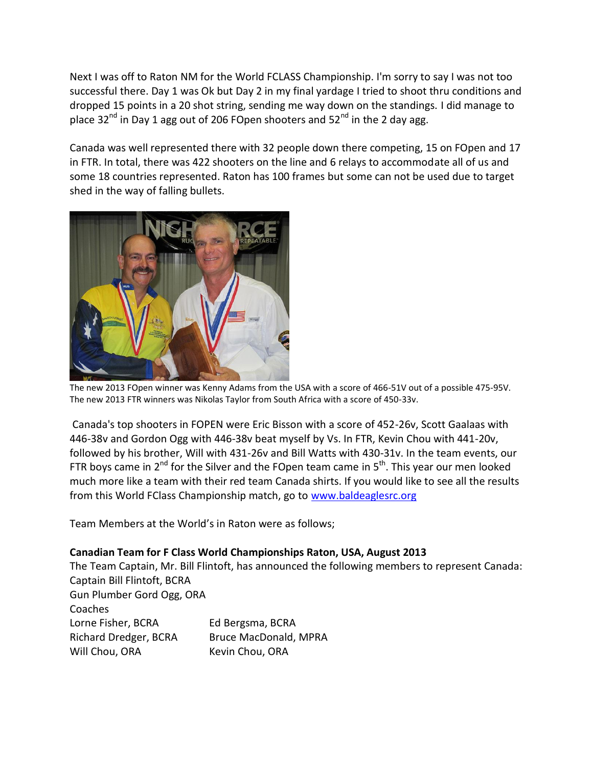Next I was off to Raton NM for the World FCLASS Championship. I'm sorry to say I was not too successful there. Day 1 was Ok but Day 2 in my final yardage I tried to shoot thru conditions and dropped 15 points in a 20 shot string, sending me way down on the standings. I did manage to place  $32<sup>nd</sup>$  in Day 1 agg out of 206 FOpen shooters and  $52<sup>nd</sup>$  in the 2 day agg.

Canada was well represented there with 32 people down there competing, 15 on FOpen and 17 in FTR. In total, there was 422 shooters on the line and 6 relays to accommodate all of us and some 18 countries represented. Raton has 100 frames but some can not be used due to target shed in the way of falling bullets.



The new 2013 FOpen winner was Kenny Adams from the USA with a score of 466-51V out of a possible 475-95V. The new 2013 FTR winners was Nikolas Taylor from South Africa with a score of 450-33v.

Canada's top shooters in FOPEN were Eric Bisson with a score of 452-26v, Scott Gaalaas with 446-38v and Gordon Ogg with 446-38v beat myself by Vs. In FTR, Kevin Chou with 441-20v, followed by his brother, Will with 431-26v and Bill Watts with 430-31v. In the team events, our FTR boys came in  $2^{nd}$  for the Silver and the FOpen team came in  $5<sup>th</sup>$ . This year our men looked much more like a team with their red team Canada shirts. If you would like to see all the results from this World FClass Championship match, go to [www.baldeaglesrc.org](http://www.baldeaglesrc.org/)

Team Members at the World's in Raton were as follows;

## **Canadian Team for F Class World Championships Raton, USA, August 2013**

The Team Captain, Mr. Bill Flintoft, has announced the following members to represent Canada: Captain Bill Flintoft, BCRA Gun Plumber Gord Ogg, ORA Coaches Lorne Fisher, BCRA Ed Bergsma, BCRA Richard Dredger, BCRA Bruce MacDonald, MPRA Will Chou, ORA Kevin Chou, ORA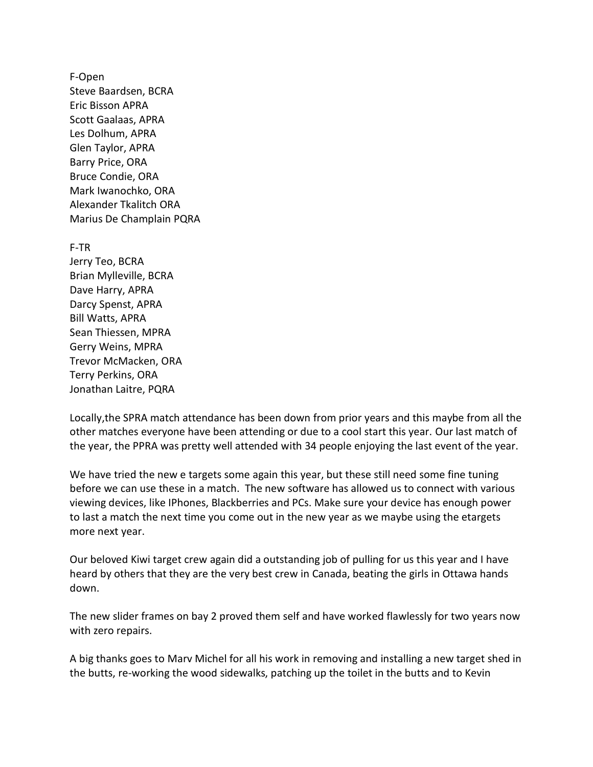F-Open Steve Baardsen, BCRA Eric Bisson APRA Scott Gaalaas, APRA Les Dolhum, APRA Glen Taylor, APRA Barry Price, ORA Bruce Condie, ORA Mark Iwanochko, ORA Alexander Tkalitch ORA Marius De Champlain PQRA

F-TR Jerry Teo, BCRA Brian Mylleville, BCRA Dave Harry, APRA Darcy Spenst, APRA Bill Watts, APRA Sean Thiessen, MPRA Gerry Weins, MPRA Trevor McMacken, ORA Terry Perkins, ORA Jonathan Laitre, PQRA

Locally,the SPRA match attendance has been down from prior years and this maybe from all the other matches everyone have been attending or due to a cool start this year. Our last match of the year, the PPRA was pretty well attended with 34 people enjoying the last event of the year.

We have tried the new e targets some again this year, but these still need some fine tuning before we can use these in a match. The new software has allowed us to connect with various viewing devices, like IPhones, Blackberries and PCs. Make sure your device has enough power to last a match the next time you come out in the new year as we maybe using the etargets more next year.

Our beloved Kiwi target crew again did a outstanding job of pulling for us this year and I have heard by others that they are the very best crew in Canada, beating the girls in Ottawa hands down.

The new slider frames on bay 2 proved them self and have worked flawlessly for two years now with zero repairs.

A big thanks goes to Marv Michel for all his work in removing and installing a new target shed in the butts, re-working the wood sidewalks, patching up the toilet in the butts and to Kevin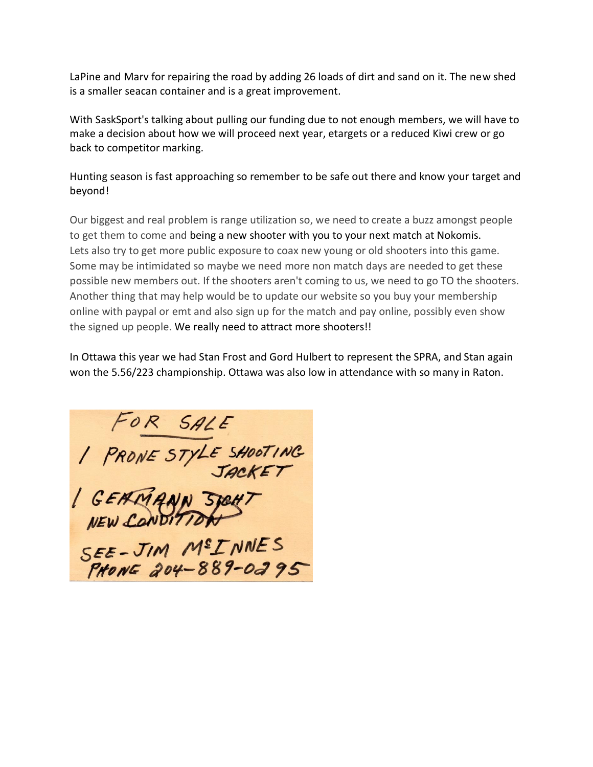LaPine and Marv for repairing the road by adding 26 loads of dirt and sand on it. The new shed is a smaller seacan container and is a great improvement.

With SaskSport's talking about pulling our funding due to not enough members, we will have to make a decision about how we will proceed next year, etargets or a reduced Kiwi crew or go back to competitor marking.

Hunting season is fast approaching so remember to be safe out there and know your target and beyond!

Our biggest and real problem is range utilization so, we need to create a buzz amongst people to get them to come and being a new shooter with you to your next match at Nokomis. Lets also try to get more public exposure to coax new young or old shooters into this game. Some may be intimidated so maybe we need more non match days are needed to get these possible new members out. If the shooters aren't coming to us, we need to go TO the shooters. Another thing that may help would be to update our website so you buy your membership online with paypal or emt and also sign up for the match and pay online, possibly even show the signed up people. We really need to attract more shooters!!

In Ottawa this year we had Stan Frost and Gord Hulbert to represent the SPRA, and Stan again won the 5.56/223 championship. Ottawa was also low in attendance with so many in Raton.

FOR SALE<br>1 PRONE STYLE SHOOTING<br>1 GEAMANN STEHT<br>NEW CONDITION<br>SEE-JIM M<sup>E</sup>INNES<br>FRONE 204-889-0295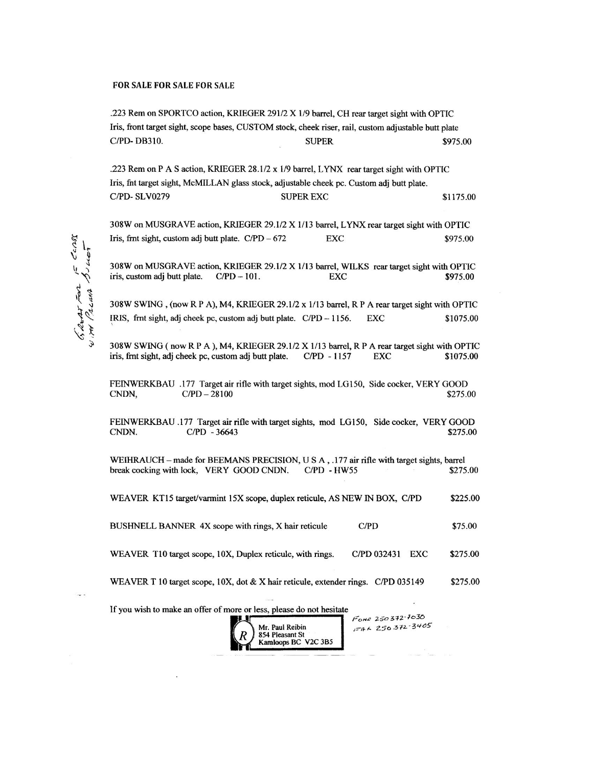## FOR SALE FOR SALE FOR SALE

.223 Rem on SPORTCO action, KRIEGER 291/2 X 1/9 barrel, CH rear target sight with OPTIC Iris, front target sight, scope bases, CUSTOM stock, cheek riser, rail, custom adjustable butt plate C/PD-DB310. **SUPER** \$975.00 .223 Rem on P A S action, KRIEGER 28.1/2 x 1/9 barrel, LYNX rear target sight with OPTIC Iris, fnt target sight, McMILLAN glass stock, adjustable cheek pc. Custom adj butt plate. C/PD-SLV0279 **SUPER EXC** \$1175.00 308W on MUSGRAVE action, KRIEGER 29.1/2 X 1/13 barrel, LYNX rear target sight with OPTIC Iris, frnt sight, custom adj butt plate.  $C/PD - 672$ **EXC** \$975.00 308W on MUSGRAVE action, KRIEGER 29.1/2 X 1/13 barrel, WILKS rear target sight with OPTIC iris, custom adj butt plate.  $C/PD - 101$ . **EXC** \$975.00 308W SWING, (now R P A), M4, KRIEGER 29.1/2 x 1/13 barrel, R P A rear target sight with OPTIC IRIS, frnt sight, adj cheek pc, custom adj butt plate. C/PD - 1156. **EXC** \$1075.00 308W SWING (now R P A), M4, KRIEGER 29.1/2 X 1/13 barrel, R P A rear target sight with OPTIC iris, frnt sight, adj cheek pc, custom adj butt plate. C/PD - 1157 \$1075.00 **EXC** FEINWERKBAU .177 Target air rifle with target sights, mod LG150, Side cocker, VERY GOOD CNDN,  $C/PD - 28100$ \$275.00 FEINWERKBAU .177 Target air rifle with target sights, mod LG150, Side cocker, VERY GOOD CNDN. C/PD - 36643 \$275.00 WEIHRAUCH – made for BEEMANS PRECISION, U S A, .177 air rifle with target sights, barrel break cocking with lock, VERY GOOD CNDN.  $C/PD - HW55$ \$275.00 WEAVER KT15 target/varmint 15X scope, duplex reticule, AS NEW IN BOX, C/PD \$225.00 BUSHNELL BANNER 4X scope with rings, X hair reticule  $C/PD$ \$75.00 WEAVER T10 target scope, 10X, Duplex reticule, with rings. C/PD 032431 EXC \$275.00 WEAVER T 10 target scope, 10X, dot & X hair reticule, extender rings. C/PD 035149 \$275.00 If you wish to make an offer of more or less, please do not hesitate Fone 250372-7030  $F46250372 - 3405$ Mr. Paul Reibin

854 Pleasant St Kamloops BC V2C 3B5

 $5502$ Pacana Buccar  $2277$